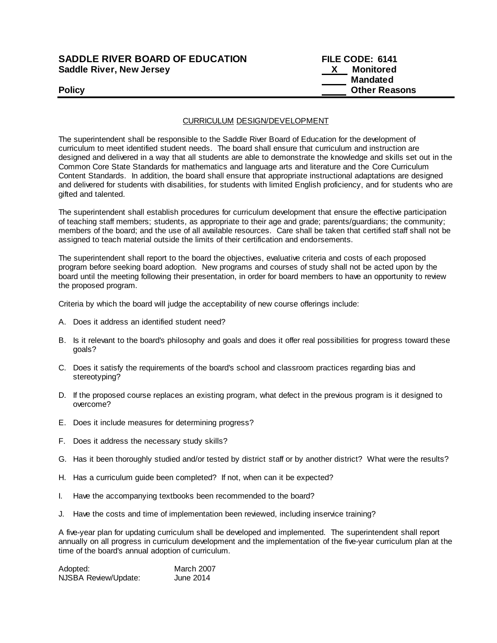## **SADDLE RIVER BOARD OF EDUCATION Saddle River, New Jersey**

| <b>SADDLE RIVER BOARD OF EDUCATION</b> | FILE CODE: 6141      |
|----------------------------------------|----------------------|
| Saddle River, New Jersey               | Monitored            |
|                                        | <b>Mandated</b>      |
| <b>Policy</b>                          | <b>Other Reasons</b> |

## CURRICULUM DESIGN/DEVELOPMENT

The superintendent shall be responsible to the Saddle River Board of Education for the development of curriculum to meet identified student needs. The board shall ensure that curriculum and instruction are designed and delivered in a way that all students are able to demonstrate the knowledge and skills set out in the Common Core State Standards for mathematics and language arts and literature and the Core Curriculum Content Standards. In addition, the board shall ensure that appropriate instructional adaptations are designed and delivered for students with disabilities, for students with limited English proficiency, and for students who are gifted and talented.

The superintendent shall establish procedures for curriculum development that ensure the effective participation of teaching staff members; students, as appropriate to their age and grade; parents/guardians; the community; members of the board; and the use of all available resources. Care shall be taken that certified staff shall not be assigned to teach material outside the limits of their certification and endorsements.

The superintendent shall report to the board the objectives, evaluative criteria and costs of each proposed program before seeking board adoption. New programs and courses of study shall not be acted upon by the board until the meeting following their presentation, in order for board members to have an opportunity to review the proposed program.

Criteria by which the board will judge the acceptability of new course offerings include:

- A. Does it address an identified student need?
- B. Is it relevant to the board's philosophy and goals and does it offer real possibilities for progress toward these goals?
- C. Does it satisfy the requirements of the board's school and classroom practices regarding bias and stereotyping?
- D. If the proposed course replaces an existing program, what defect in the previous program is it designed to overcome?
- E. Does it include measures for determining progress?
- F. Does it address the necessary study skills?
- G. Has it been thoroughly studied and/or tested by district staff or by another district? What were the results?
- H. Has a curriculum guide been completed? If not, when can it be expected?
- I. Have the accompanying textbooks been recommended to the board?
- J. Have the costs and time of implementation been reviewed, including inservice training?

A five-year plan for updating curriculum shall be developed and implemented. The superintendent shall report annually on all progress in curriculum development and the implementation of the five-year curriculum plan at the time of the board's annual adoption of curriculum.

| Adopted:             | March 2007 |
|----------------------|------------|
| NJSBA Review/Update: | June 2014  |